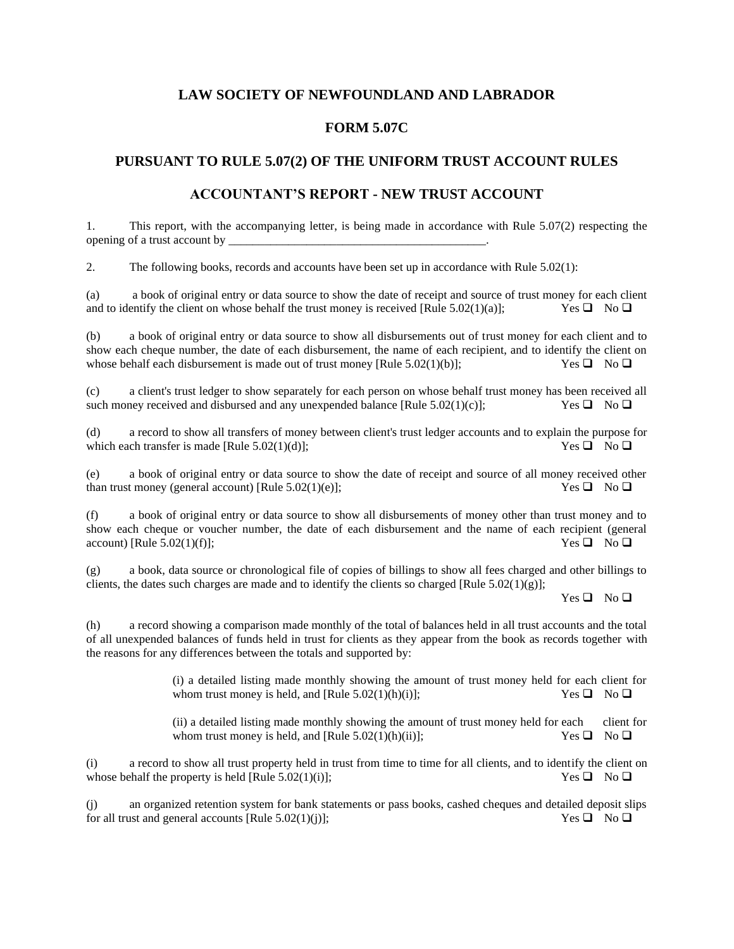# **LAW SOCIETY OF NEWFOUNDLAND AND LABRADOR**

### **FORM 5.07C**

# **PURSUANT TO RULE 5.07(2) OF THE UNIFORM TRUST ACCOUNT RULES**

#### **ACCOUNTANT'S REPORT - NEW TRUST ACCOUNT**

1. This report, with the accompanying letter, is being made in accordance with Rule 5.07(2) respecting the opening of a trust account by \_\_\_\_\_\_\_\_\_\_\_\_\_\_\_\_\_\_\_\_\_\_\_\_\_\_\_\_\_\_\_\_\_\_\_\_\_\_\_\_\_\_\_.

2. The following books, records and accounts have been set up in accordance with Rule 5.02(1):

(a) a book of original entry or data source to show the date of receipt and source of trust money for each client and to identify the client on whose behalf the trust money is received [Rule 5.02(1)(a)]; Yes  $\Box$  No  $\Box$ 

(b) a book of original entry or data source to show all disbursements out of trust money for each client and to show each cheque number, the date of each disbursement, the name of each recipient, and to identify the client on whose behalf each disbursement is made out of trust money [Rule 5.02(1)(b)]; Yes  $\Box$  No  $\Box$ 

(c) a client's trust ledger to show separately for each person on whose behalf trust money has been received all such money received and disbursed and any unexpended balance [Rule 5.02(1)(c)]; Yes  $\Box$  No  $\Box$ 

(d) a record to show all transfers of money between client's trust ledger accounts and to explain the purpose for which each transfer is made [Rule 5.02(1)(d)];  $\overline{Q} = \overline{Q} \times \overline{Q} = \overline{Q} \times \overline{Q}$ 

(e) a book of original entry or data source to show the date of receipt and source of all money received other than trust money (general account) [Rule 5.02(1)(e)]; Yes  $\Box$  No  $\Box$ 

(f) a book of original entry or data source to show all disbursements of money other than trust money and to show each cheque or voucher number, the date of each disbursement and the name of each recipient (general account) [Rule 5.02(1)(f)];  $\qquad \qquad$  Yes  $\Box \qquad$  No  $\Box$ 

(g) a book, data source or chronological file of copies of billings to show all fees charged and other billings to clients, the dates such charges are made and to identify the clients so charged [Rule  $5.02(1)(g)$ ];

Yes ❑ No ❑

(h) a record showing a comparison made monthly of the total of balances held in all trust accounts and the total of all unexpended balances of funds held in trust for clients as they appear from the book as records together with the reasons for any differences between the totals and supported by:

> (i) a detailed listing made monthly showing the amount of trust money held for each client for whom trust money is held, and [Rule 5.02(1)(h)(i)]; Yes  $\Box$  No  $\Box$

> (ii) a detailed listing made monthly showing the amount of trust money held for each client for whom trust money is held, and [Rule 5.02(1)(h)(ii)]; Yes  $\Box$  No  $\Box$

(i) a record to show all trust property held in trust from time to time for all clients, and to identify the client on whose behalf the property is held [Rule 5.02(1)(i)]; Yes  $\Box$  No  $\Box$ 

(j) an organized retention system for bank statements or pass books, cashed cheques and detailed deposit slips for all trust and general accounts [Rule 5.02(1)(j)]; Yes  $\square$  No  $\square$ for all trust and general accounts [Rule  $5.02(1)(i)$ ];